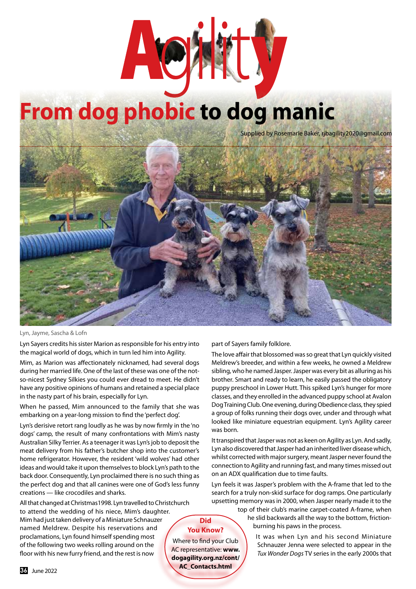

## **From dog phobic to dog manic**

Supplied by Rosemarie Baker, rjbagility2020@gmail.com



Lyn, Jayme, Sascha & Lofn

Lyn Sayers credits his sister Marion as responsible for his entry into the magical world of dogs, which in turn led him into Agility.

Mim, as Marion was affectionately nicknamed, had several dogs during her married life. One of the last of these was one of the notso-nicest Sydney Silkies you could ever dread to meet. He didn't have any positive opinions of humans and retained a special place in the nasty part of his brain, especially for Lyn.

When he passed, Mim announced to the family that she was embarking on a year-long mission to find the 'perfect dog'.

Lyn's derisive retort rang loudly as he was by now firmly in the 'no dogs' camp, the result of many confrontations with Mim's nasty Australian Silky Terrier. As a teenager it was Lyn's job to deposit the meat delivery from his father's butcher shop into the customer's home refrigerator. However, the resident 'wild wolves' had other ideas and would take it upon themselves to block Lyn's path to the back door. Consequently, Lyn proclaimed there is no such thing as the perfect dog and that all canines were one of God's less funny creations — like crocodiles and sharks.

All that changed at Christmas1998. Lyn travelled to Christchurch to attend the wedding of his niece, Mim's daughter. Mim had just taken delivery of a Miniature Schnauzer named Meldrew. Despite his reservations and proclamations, Lyn found himself spending most of the following two weeks rolling around on the floor with his new furry friend, and the rest is now

## part of Sayers family folklore.

The love affair that blossomed was so great that Lyn quickly visited Meldrew's breeder, and within a few weeks, he owned a Meldrew sibling, who he named Jasper. Jasper was every bit as alluring as his brother. Smart and ready to learn, he easily passed the obligatory puppy preschool in Lower Hutt. This spiked Lyn's hunger for more classes, and they enrolled in the advanced puppy school at Avalon Dog Training Club. One evening, during Obedience class, they spied a group of folks running their dogs over, under and through what looked like miniature equestrian equipment. Lyn's Agility career was born.

It transpired that Jasper was not as keen on Agility as Lyn. And sadly, Lyn also discovered that Jasper had an inherited liver disease which, whilst corrected with major surgery, meant Jasper never found the connection to Agility and running fast, and many times missed out on an ADX qualification due to time faults.

Lyn feels it was Jasper's problem with the A-frame that led to the search for a truly non-skid surface for dog ramps. One particularly upsetting memory was in 2000, when Jasper nearly made it to the

> top of their club's marine carpet-coated A-frame, when he slid backwards all the way to the bottom, frictionburning his paws in the process.

> > It was when Lyn and his second Miniature Schnauzer Jenna were selected to appear in the *Tux Wonder Dogs* TV series in the early 2000s that

## **Did You Know?**

Where to find your Club AC representative: **www. dogagility.org.nz/cont/ AC\_Contacts.html**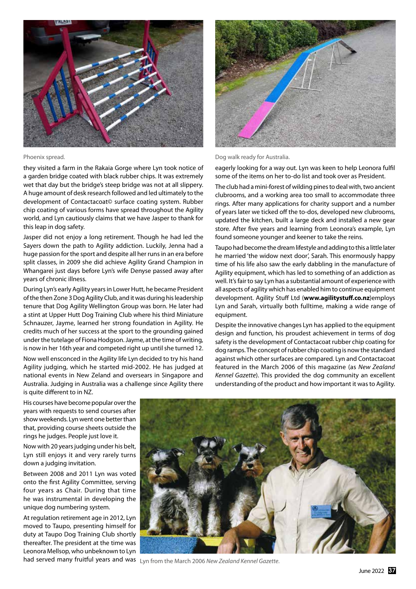

they visited a farm in the Rakaia Gorge where Lyn took notice of a garden bridge coated with black rubber chips. It was extremely wet that day but the bridge's steep bridge was not at all slippery. A huge amount of desk research followed and led ultimately to the development of Contactacoat© surface coating system. Rubber chip coating of various forms have spread throughout the Agility world, and Lyn cautiously claims that we have Jasper to thank for this leap in dog safety.

Jasper did not enjoy a long retirement. Though he had led the Sayers down the path to Agility addiction. Luckily, Jenna had a huge passion for the sport and despite all her runs in an era before split classes, in 2009 she did achieve Agility Grand Champion in Whangarei just days before Lyn's wife Denyse passed away after years of chronic illness.

During Lyn's early Agility years in Lower Hutt, he became President of the then Zone 3 Dog Agility Club, and it was during his leadership tenure that Dog Agility Wellington Group was born. He later had a stint at Upper Hutt Dog Training Club where his third Miniature Schnauzer, Jayme, learned her strong foundation in Agility. He credits much of her success at the sport to the grounding gained under the tutelage of Fiona Hodgson. Jayme, at the time of writing, is now in her 16th year and competed right up until she turned 12.

Now well ensconced in the Agility life Lyn decided to try his hand Agility judging, which he started mid-2002. He has judged at national events in New Zeland and oversears in Singapore and Australia. Judging in Australia was a challenge since Agility there is quite different to in NZ.

Phoenix spread. Dog walk ready for Australia.

eagerly looking for a way out. Lyn was keen to help Leonora fulfil some of the items on her to-do list and took over as President.

The club had a mini-forest of wilding pines to deal with, two ancient clubrooms, and a working area too small to accommodate three rings. After many applications for charity support and a number of years later we ticked off the to-dos, developed new clubrooms, updated the kitchen, built a large deck and installed a new gear store. After five years and learning from Leonora's example, Lyn found someone younger and keener to take the reins.

Taupo had become the dream lifestyle and adding to this a little later he married 'the widow next door', Sarah. This enormously happy time of his life also saw the early dabbling in the manufacture of Agility equipment, which has led to something of an addiction as well. It's fair to say Lyn has a substantial amount of experience with all aspects of agility which has enabled him to continue equipment development. Agility Stuff Ltd (**www.agilitystuff.co.nz**)employs Lyn and Sarah, virtually both fulltime, making a wide range of equipment.

Despite the innovative changes Lyn has applied to the equipment design and function, his proudest achievement in terms of dog safety is the development of Contactacoat rubber chip coating for dog ramps. The concept of rubber chip coating is now the standard against which other surfaces are compared. Lyn and Contactacoat featured in the March 2006 of this magazine (as *New Zealand Kennel Gazette*). This provided the dog community an excellent understanding of the product and how important it was to Agility.

His courses have become popular over the years with requests to send courses after show weekends. Lyn went one better than that, providing course sheets outside the rings he judges. People just love it.

Now with 20 years judging under his belt, Lyn still enjoys it and very rarely turns down a judging invitation.

Between 2008 and 2011 Lyn was voted onto the first Agility Committee, serving four years as Chair. During that time he was instrumental in developing the unique dog numbering system.

At regulation retirement age in 2012, Lyn moved to Taupo, presenting himself for duty at Taupo Dog Training Club shortly thereafter. The president at the time was Leonora Mellsop, who unbeknown to Lyn



had served many fruitful years and was Lyn from the March 2006 *New Zealand Kennel Gazette*.